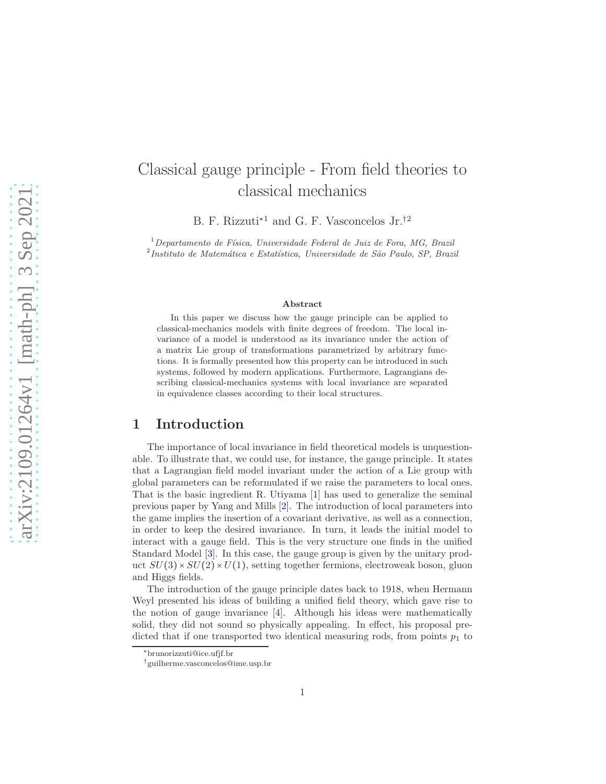# Classical gauge principle - From field theories to classical mechanics

B. F. Rizzuti∗<sup>1</sup> and G. F. Vasconcelos Jr.†<sup>2</sup>

 $1$ Departamento de Física, Universidade Federal de Juiz de Fora, MG, Brazil <sup>2</sup>Instituto de Matemática e Estatística, Universidade de São Paulo, SP, Brazil

#### Abstract

In this paper we discuss how the gauge principle can be applied to classical-mechanics models with finite degrees of freedom. The local invariance of a model is understood as its invariance under the action of a matrix Lie group of transformations parametrized by arbitrary functions. It is formally presented how this property can be introduced in such systems, followed by modern applications. Furthermore, Lagrangians describing classical-mechanics systems with local invariance are separated in equivalence classes according to their local structures.

# 1 Introduction

The importance of local invariance in field theoretical models is unquestionable. To illustrate that, we could use, for instance, the gauge principle. It states that a Lagrangian field model invariant under the action of a Lie group with global parameters can be reformulated if we raise the parameters to local ones. That is the basic ingredient R. Utiyama [\[1\]](#page-10-0) has used to generalize the seminal previous paper by Yang and Mills [\[2\]](#page-10-1). The introduction of local parameters into the game implies the insertion of a covariant derivative, as well as a connection, in order to keep the desired invariance. In turn, it leads the initial model to interact with a gauge field. This is the very structure one finds in the unified Standard Model [\[3\]](#page-11-0). In this case, the gauge group is given by the unitary product  $SU(3) \times SU(2) \times U(1)$ , setting together fermions, electroweak boson, gluon and Higgs fields.

The introduction of the gauge principle dates back to 1918, when Hermann Weyl presented his ideas of building a unified field theory, which gave rise to the notion of gauge invariance  $\vert 4 \vert$ . Although his ideas were mathematically solid, they did not sound so physically appealing. In effect, his proposal predicted that if one transported two identical measuring rods, from points  $p_1$  to

<sup>∗</sup>brunorizzuti@ice.ufjf.br

<sup>†</sup>guilherme.vasconcelos@ime.usp.br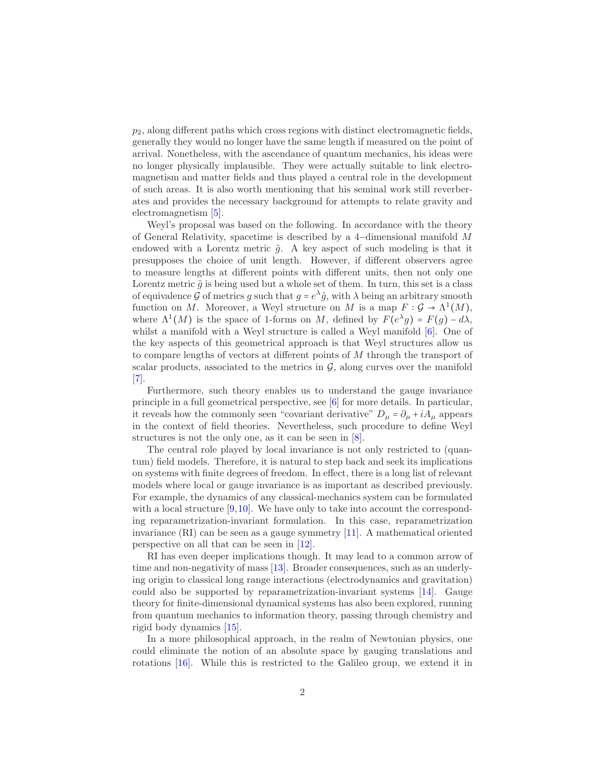$p_2$ , along different paths which cross regions with distinct electromagnetic fields, generally they would no longer have the same length if measured on the point of arrival. Nonetheless, with the ascendance of quantum mechanics, his ideas were no longer physically implausible. They were actually suitable to link electromagnetism and matter fields and thus played a central role in the development of such areas. It is also worth mentioning that his seminal work still reverberates and provides the necessary background for attempts to relate gravity and electromagnetism [\[5\]](#page-11-2).

Weyl's proposal was based on the following. In accordance with the theory of General Relativity, spacetime is described by a 4−dimensional manifold M endowed with a Lorentz metric  $\tilde{g}$ . A key aspect of such modeling is that it presupposes the choice of unit length. However, if different observers agree to measure lengths at different points with different units, then not only one Lorentz metric  $\tilde{q}$  is being used but a whole set of them. In turn, this set is a class of equivalence G of metrics g such that  $g = e^{\lambda} \tilde{g}$ , with  $\lambda$  being an arbitrary smooth function on M. Moreover, a Weyl structure on M is a map  $F: \mathcal{G} \to \Lambda^1(M)$ , where  $\Lambda^1(M)$  is the space of 1-forms on M, defined by  $F(e^{\lambda}g) = F(g) - d\lambda$ , whilst a manifold with a Weyl structure is called a Weyl manifold [\[6\]](#page-11-3). One of the key aspects of this geometrical approach is that Weyl structures allow us to compare lengths of vectors at different points of M through the transport of scalar products, associated to the metrics in  $G$ , along curves over the manifold [\[7\]](#page-11-4).

Furthermore, such theory enables us to understand the gauge invariance principle in a full geometrical perspective, see [\[6\]](#page-11-3) for more details. In particular, it reveals how the commonly seen "covariant derivative"  $D_{\mu} = \partial_{\mu} + iA_{\mu}$  appears in the context of field theories. Nevertheless, such procedure to define Weyl structures is not the only one, as it can be seen in [\[8\]](#page-11-5).

The central role played by local invariance is not only restricted to (quantum) field models. Therefore, it is natural to step back and seek its implications on systems with finite degrees of freedom. In effect, there is a long list of relevant models where local or gauge invariance is as important as described previously. For example, the dynamics of any classical-mechanics system can be formulated with a local structure  $[9,10]$  $[9,10]$ . We have only to take into account the corresponding reparametrization-invariant formulation. In this case, reparametrization invariance (RI) can be seen as a gauge symmetry [\[11\]](#page-11-8). A mathematical oriented perspective on all that can be seen in [\[12\]](#page-11-9).

RI has even deeper implications though. It may lead to a common arrow of time and non-negativity of mass [\[13\]](#page-11-10). Broader consequences, such as an underlying origin to classical long range interactions (electrodynamics and gravitation) could also be supported by reparametrization-invariant systems [\[14\]](#page-11-11). Gauge theory for finite-dimensional dynamical systems has also been explored, running from quantum mechanics to information theory, passing through chemistry and rigid body dynamics [\[15\]](#page-11-12).

In a more philosophical approach, in the realm of Newtonian physics, one could eliminate the notion of an absolute space by gauging translations and rotations [\[16\]](#page-11-13). While this is restricted to the Galileo group, we extend it in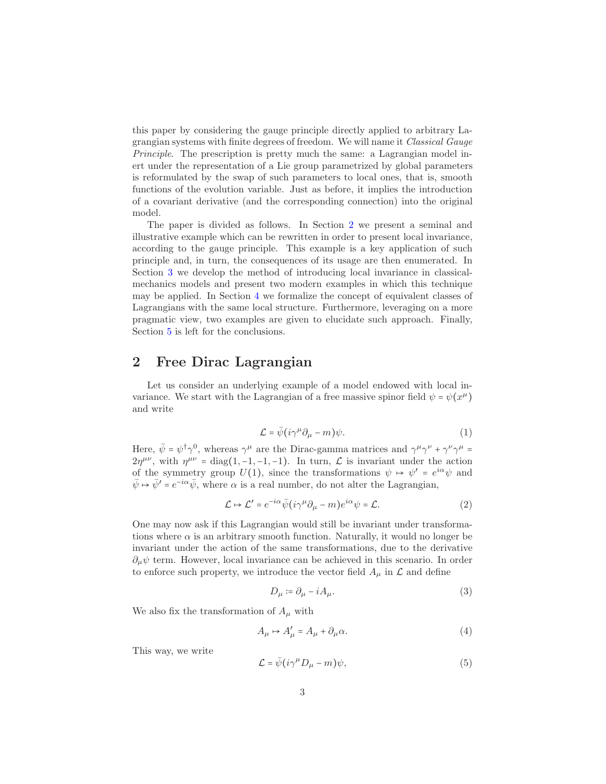this paper by considering the gauge principle directly applied to arbitrary Lagrangian systems with finite degrees of freedom. We will name it Classical Gauge Principle. The prescription is pretty much the same: a Lagrangian model inert under the representation of a Lie group parametrized by global parameters is reformulated by the swap of such parameters to local ones, that is, smooth functions of the evolution variable. Just as before, it implies the introduction of a covariant derivative (and the corresponding connection) into the original model.

The paper is divided as follows. In Section [2](#page-2-0) we present a seminal and illustrative example which can be rewritten in order to present local invariance, according to the gauge principle. This example is a key application of such principle and, in turn, the consequences of its usage are then enumerated. In Section [3](#page-3-0) we develop the method of introducing local invariance in classicalmechanics models and present two modern examples in which this technique may be applied. In Section [4](#page-8-0) we formalize the concept of equivalent classes of Lagrangians with the same local structure. Furthermore, leveraging on a more pragmatic view, two examples are given to elucidate such approach. Finally, Section [5](#page-9-0) is left for the conclusions.

# <span id="page-2-0"></span>2 Free Dirac Lagrangian

Let us consider an underlying example of a model endowed with local invariance. We start with the Lagrangian of a free massive spinor field  $\psi = \psi(x^{\mu})$ and write

$$
\mathcal{L} = \bar{\psi}(i\gamma^{\mu}\partial_{\mu} - m)\psi.
$$
 (1)

Here,  $\bar{\psi} = \psi^{\dagger} \gamma^{0}$ , whereas  $\gamma^{\mu}$  are the Dirac-gamma matrices and  $\gamma^{\mu} \gamma^{\nu} + \gamma^{\nu} \gamma^{\mu} =$  $2\eta^{\mu\nu}$ , with  $\eta^{\mu\nu} = \text{diag}(1, -1, -1, -1)$ . In turn,  $\mathcal L$  is invariant under the action of the symmetry group  $U(1)$ , since the transformations  $\psi \mapsto \psi' = e^{i\alpha}\psi$  and  $\bar{\psi} \mapsto \bar{\psi}' = e^{-i\alpha} \bar{\psi}$ , where  $\alpha$  is a real number, do not alter the Lagrangian,

$$
\mathcal{L} \mapsto \mathcal{L}' = e^{-i\alpha} \bar{\psi} (i\gamma^{\mu} \partial_{\mu} - m) e^{i\alpha} \psi = \mathcal{L}.
$$
 (2)

One may now ask if this Lagrangian would still be invariant under transformations where  $\alpha$  is an arbitrary smooth function. Naturally, it would no longer be invariant under the action of the same transformations, due to the derivative  $\partial_{\mu}\psi$  term. However, local invariance can be achieved in this scenario. In order to enforce such property, we introduce the vector field  $A_\mu$  in  $\mathcal L$  and define

$$
D_{\mu} \coloneqq \partial_{\mu} - iA_{\mu}.\tag{3}
$$

We also fix the transformation of  $A_\mu$  with

<span id="page-2-1"></span>
$$
A_{\mu} \mapsto A'_{\mu} = A_{\mu} + \partial_{\mu}\alpha.
$$
\n<sup>(4)</sup>

This way, we write

$$
\mathcal{L} = \bar{\psi}(i\gamma^{\mu}D_{\mu} - m)\psi,
$$
\n(5)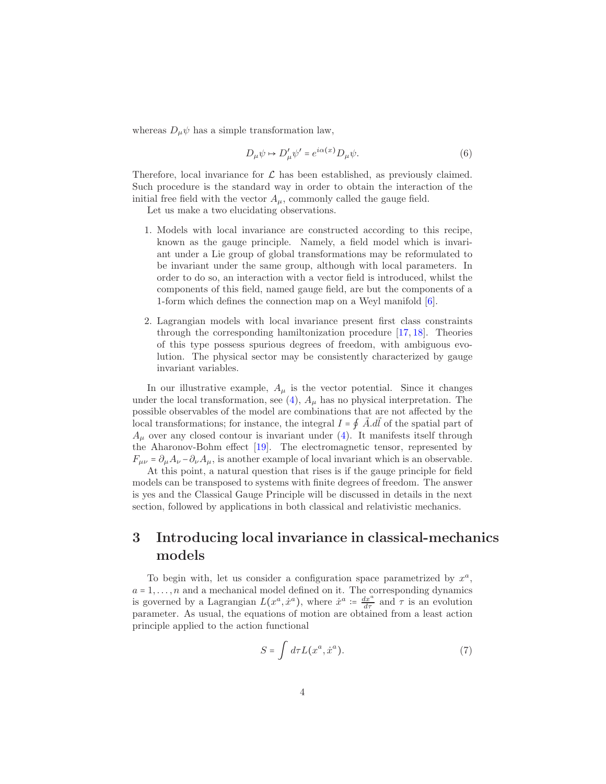whereas  $D_{\mu}\psi$  has a simple transformation law,

$$
D_{\mu}\psi \mapsto D'_{\mu}\psi' = e^{i\alpha(x)}D_{\mu}\psi.
$$
 (6)

Therefore, local invariance for  $\mathcal L$  has been established, as previously claimed. Such procedure is the standard way in order to obtain the interaction of the initial free field with the vector  $A_{\mu}$ , commonly called the gauge field.

Let us make a two elucidating observations.

- 1. Models with local invariance are constructed according to this recipe, known as the gauge principle. Namely, a field model which is invariant under a Lie group of global transformations may be reformulated to be invariant under the same group, although with local parameters. In order to do so, an interaction with a vector field is introduced, whilst the components of this field, named gauge field, are but the components of a 1-form which defines the connection map on a Weyl manifold [\[6\]](#page-11-3).
- 2. Lagrangian models with local invariance present first class constraints through the corresponding hamiltonization procedure [\[17,](#page-12-0) [18\]](#page-12-1). Theories of this type possess spurious degrees of freedom, with ambiguous evolution. The physical sector may be consistently characterized by gauge invariant variables.

In our illustrative example,  $A_{\mu}$  is the vector potential. Since it changes under the local transformation, see [\(4\)](#page-2-1),  $A_{\mu}$  has no physical interpretation. The possible observables of the model are combinations that are not affected by the local transformations; for instance, the integral  $I = \oint \vec{A} \cdot d\vec{l}$  of the spatial part of  $A_{\mu}$  over any closed contour is invariant under [\(4\)](#page-2-1). It manifests itself through the Aharonov-Bohm effect [\[19\]](#page-12-2). The electromagnetic tensor, represented by  $F_{\mu\nu} = \partial_{\mu}A_{\nu} - \partial_{\nu}A_{\mu}$ , is another example of local invariant which is an observable.

At this point, a natural question that rises is if the gauge principle for field models can be transposed to systems with finite degrees of freedom. The answer is yes and the Classical Gauge Principle will be discussed in details in the next section, followed by applications in both classical and relativistic mechanics.

# <span id="page-3-0"></span>3 Introducing local invariance in classical-mechanics models

To begin with, let us consider a configuration space parametrized by  $x^a$ ,  $a = 1, \ldots, n$  and a mechanical model defined on it. The corresponding dynamics is governed by a Lagrangian  $L(x^a, \dot{x}^a)$ , where  $\dot{x}^a := \frac{dx^a}{d\tau}$  and  $\tau$  is an evolution parameter. As usual, the equations of motion are obtained from a least action principle applied to the action functional

$$
S = \int d\tau L(x^a, \dot{x}^a). \tag{7}
$$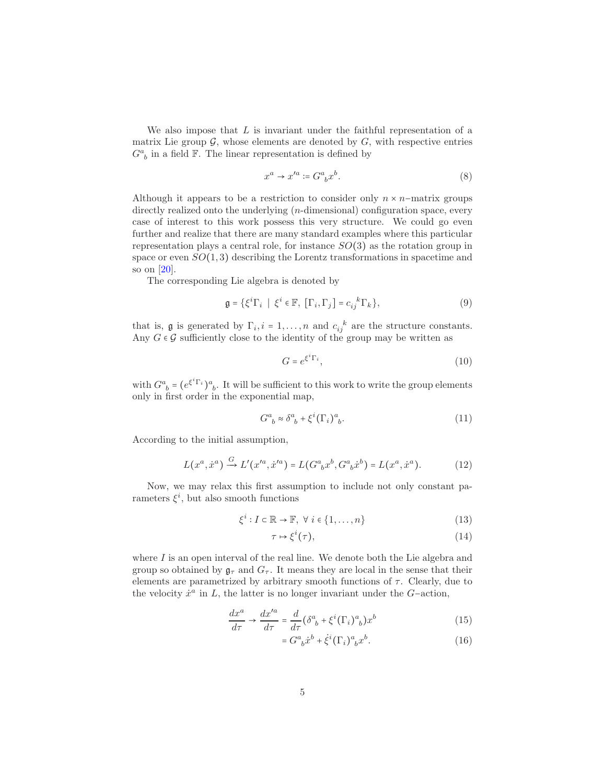We also impose that  $L$  is invariant under the faithful representation of a matrix Lie group  $\mathcal{G}$ , whose elements are denoted by  $G$ , with respective entries  $G^a_{\ b}$  in a field  ${\mathbb F}.$  The linear representation is defined by

$$
x^a \to x'^a := G^a{}_b x^b. \tag{8}
$$

Although it appears to be a restriction to consider only  $n \times n$ –matrix groups directly realized onto the underlying (*n*-dimensional) configuration space, every case of interest to this work possess this very structure. We could go even further and realize that there are many standard examples where this particular representation plays a central role, for instance  $SO(3)$  as the rotation group in space or even  $SO(1,3)$  describing the Lorentz transformations in spacetime and so on [\[20\]](#page-12-3).

The corresponding Lie algebra is denoted by

$$
\mathfrak{g} = \{ \xi^i \Gamma_i \mid \xi^i \in \mathbb{F}, \ [\Gamma_i, \Gamma_j] = c_{ij}^{\ k} \Gamma_k \},\tag{9}
$$

that is, **g** is generated by  $\Gamma_i$ ,  $i = 1, ..., n$  and  $c_{ij}^k$  are the structure constants. Any  $G \in \mathcal{G}$  sufficiently close to the identity of the group may be written as

$$
G = e^{\xi^i \Gamma_i},\tag{10}
$$

with  $G^a{}_b = (e^{\xi^i \Gamma_i})^a{}_b$ . It will be sufficient to this work to write the group elements only in first order in the exponential map,

$$
G^a{}_b \approx \delta^a{}_b + \xi^i (\Gamma_i)^a{}_b. \tag{11}
$$

According to the initial assumption,

<span id="page-4-1"></span>
$$
L(x^a, \dot{x}^a) \xrightarrow{G} L'(x'^a, \dot{x}'^a) = L(G^a{}_b x^b, G^a{}_b \dot{x}^b) = L(x^a, \dot{x}^a). \tag{12}
$$

Now, we may relax this first assumption to include not only constant parameters  $\xi^i$ , but also smooth functions

$$
\xi^i : I \subset \mathbb{R} \to \mathbb{F}, \ \forall \ i \in \{1, \dots, n\}
$$
\n
$$
(13)
$$

$$
\tau \mapsto \xi^i(\tau),\tag{14}
$$

where  $I$  is an open interval of the real line. We denote both the Lie algebra and group so obtained by  $\mathfrak{g}_{\tau}$  and  $G_{\tau}$ . It means they are local in the sense that their elements are parametrized by arbitrary smooth functions of  $\tau$ . Clearly, due to the velocity  $\dot{x}^a$  in L, the latter is no longer invariant under the G-action,

$$
\frac{dx^a}{d\tau} \to \frac{dx'^a}{d\tau} = \frac{d}{d\tau} \left( \delta^a{}_b + \xi^i (\Gamma_i)^a{}_b \right) x^b \tag{15}
$$

<span id="page-4-0"></span>
$$
=G^a{}_b\dot{x}^b + \dot{\xi}^i(\Gamma_i)^a{}_bx^b. \tag{16}
$$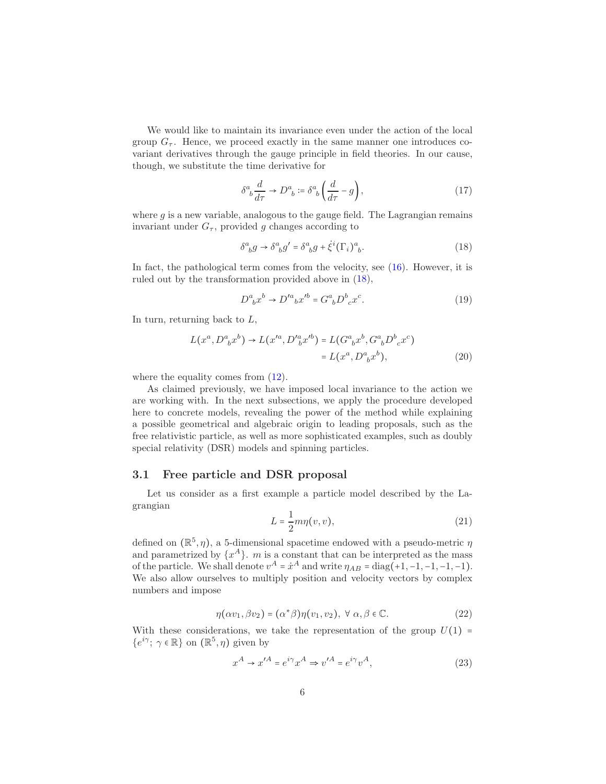We would like to maintain its invariance even under the action of the local group  $G_{\tau}$ . Hence, we proceed exactly in the same manner one introduces covariant derivatives through the gauge principle in field theories. In our cause, though, we substitute the time derivative for

$$
\delta^a{}_b \frac{d}{d\tau} \to D^a{}_b := \delta^a{}_b \left( \frac{d}{d\tau} - g \right),\tag{17}
$$

where  $g$  is a new variable, analogous to the gauge field. The Lagrangian remains invariant under  $G_{\tau}$ , provided g changes according to

<span id="page-5-0"></span>
$$
\delta^a_{\ b}g \to \delta^a_{\ b}g' = \delta^a_{\ b}g + \dot{\xi}^i(\Gamma_i)^a_{\ b}. \tag{18}
$$

In fact, the pathological term comes from the velocity, see [\(16\)](#page-4-0). However, it is ruled out by the transformation provided above in [\(18\)](#page-5-0),

$$
D^{a}_{\ b}x^{b} \to D'^{a}_{\ b}x'^{b} = G^{a}_{\ b}D^{b}_{\ c}x^{c}.
$$
 (19)

In turn, returning back to  $L$ ,

$$
L(x^a, D^a{}_b x^b) \to L(x'^a, D'^a{}_b x'^b) = L(G^a{}_b x^b, G^a{}_b D^b{}_c x^c)
$$
  
=  $L(x^a, D^a{}_b x^b)$ , (20)

where the equality comes from  $(12)$ .

As claimed previously, we have imposed local invariance to the action we are working with. In the next subsections, we apply the procedure developed here to concrete models, revealing the power of the method while explaining a possible geometrical and algebraic origin to leading proposals, such as the free relativistic particle, as well as more sophisticated examples, such as doubly special relativity (DSR) models and spinning particles.

#### 3.1 Free particle and DSR proposal

Let us consider as a first example a particle model described by the Lagrangian

<span id="page-5-1"></span>
$$
L = \frac{1}{2}m\eta(v, v),\tag{21}
$$

defined on  $(\mathbb{R}^5, \eta)$ , a 5-dimensional spacetime endowed with a pseudo-metric  $\eta$ and parametrized by  $\{x^A\}$ . m is a constant that can be interpreted as the mass of the particle. We shall denote  $v^A = \dot{x}^A$  and write  $\eta_{AB} = \text{diag}(+1, -1, -1, -1, -1)$ . We also allow ourselves to multiply position and velocity vectors by complex numbers and impose

$$
\eta(\alpha v_1, \beta v_2) = (\alpha^* \beta) \eta(v_1, v_2), \ \forall \ \alpha, \beta \in \mathbb{C}.\tag{22}
$$

With these considerations, we take the representation of the group  $U(1)$  =  $\{e^{i\gamma}; \gamma \in \mathbb{R}\}$  on  $(\mathbb{R}^5, \eta)$  given by

$$
x^{A} \rightarrow x^{\prime A} = e^{i\gamma} x^{A} \Rightarrow v^{\prime A} = e^{i\gamma} v^{A}, \qquad (23)
$$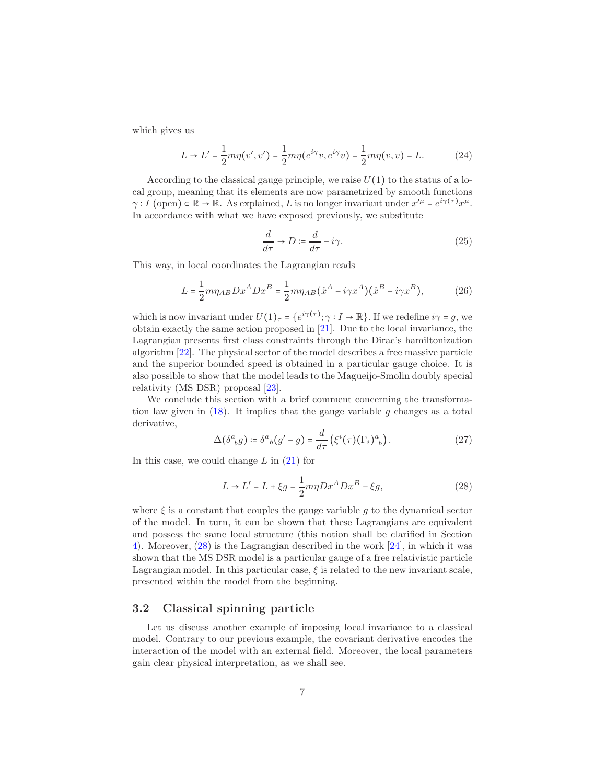which gives us

$$
L \to L' = \frac{1}{2} m \eta(v', v') = \frac{1}{2} m \eta(e^{i\gamma}v, e^{i\gamma}v) = \frac{1}{2} m \eta(v, v) = L.
$$
 (24)

According to the classical gauge principle, we raise  $U(1)$  to the status of a local group, meaning that its elements are now parametrized by smooth functions  $\gamma: I$  (open)  $\subset \mathbb{R} \to \mathbb{R}$ . As explained, L is no longer invariant under  $x'^{\mu} = e^{i\gamma(\tau)}x^{\mu}$ . In accordance with what we have exposed previously, we substitute

$$
\frac{d}{d\tau} \to D \coloneqq \frac{d}{d\tau} - i\gamma. \tag{25}
$$

This way, in local coordinates the Lagrangian reads

$$
L = \frac{1}{2}m\eta_{AB}Dx^A Dx^B = \frac{1}{2}m\eta_{AB}(\dot{x}^A - i\gamma x^A)(\dot{x}^B - i\gamma x^B),\tag{26}
$$

which is now invariant under  $U(1)_{\tau} = \{e^{i\gamma(\tau)}; \gamma : I \to \mathbb{R}\}\.$  If we redefine  $i\gamma = g$ , we obtain exactly the same action proposed in [\[21\]](#page-12-4). Due to the local invariance, the Lagrangian presents first class constraints through the Dirac's hamiltonization algorithm [\[22\]](#page-12-5). The physical sector of the model describes a free massive particle and the superior bounded speed is obtained in a particular gauge choice. It is also possible to show that the model leads to the Magueijo-Smolin doubly special relativity (MS DSR) proposal [\[23\]](#page-12-6).

We conclude this section with a brief comment concerning the transformation law given in  $(18)$ . It implies that the gauge variable g changes as a total derivative,

$$
\Delta(\delta^a{}_b g) \coloneqq \delta^a{}_b (g' - g) = \frac{d}{d\tau} \left( \xi^i(\tau) (\Gamma_i)^a{}_b \right). \tag{27}
$$

In this case, we could change  $L$  in  $(21)$  for

<span id="page-6-0"></span>
$$
L \to L' = L + \xi g = \frac{1}{2} m \eta D x^A D x^B - \xi g,
$$
\n
$$
(28)
$$

where  $\xi$  is a constant that couples the gauge variable g to the dynamical sector of the model. In turn, it can be shown that these Lagrangians are equivalent and possess the same local structure (this notion shall be clarified in Section [4\)](#page-8-0). Moreover, [\(28\)](#page-6-0) is the Lagrangian described in the work [\[24\]](#page-12-7), in which it was shown that the MS DSR model is a particular gauge of a free relativistic particle Lagrangian model. In this particular case,  $\xi$  is related to the new invariant scale, presented within the model from the beginning.

#### 3.2 Classical spinning particle

Let us discuss another example of imposing local invariance to a classical model. Contrary to our previous example, the covariant derivative encodes the interaction of the model with an external field. Moreover, the local parameters gain clear physical interpretation, as we shall see.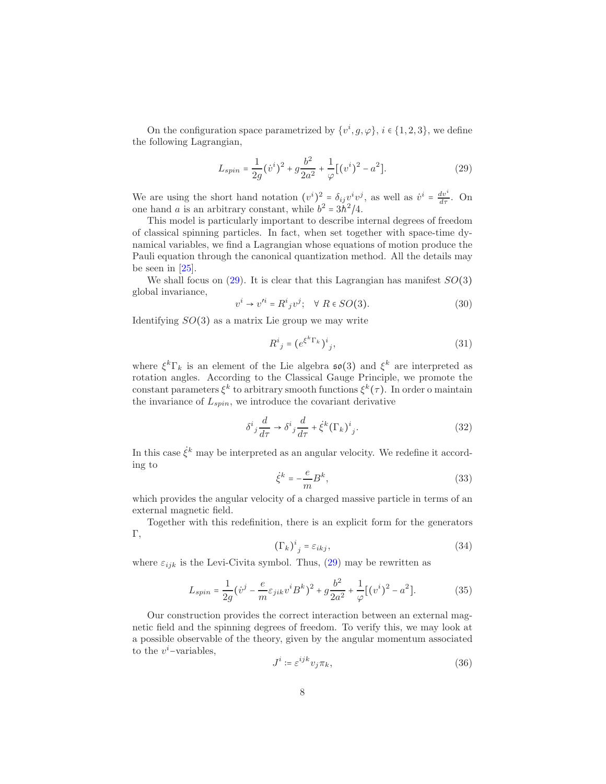On the configuration space parametrized by  $\{v^i, g, \varphi\}, i \in \{1, 2, 3\}$ , we define the following Lagrangian,

<span id="page-7-0"></span>
$$
L_{spin} = \frac{1}{2g} (\dot{v}^i)^2 + g \frac{b^2}{2a^2} + \frac{1}{\varphi} [(\dot{v}^i)^2 - a^2].
$$
 (29)

We are using the short hand notation  $(v^i)^2 = \delta_{ij} v^i v^j$ , as well as  $\dot{v}^i = \frac{dv^i}{d\tau}$ . On one hand a is an arbitrary constant, while  $b^2 = 3h^2/4$ .

This model is particularly important to describe internal degrees of freedom of classical spinning particles. In fact, when set together with space-time dynamical variables, we find a Lagrangian whose equations of motion produce the Pauli equation through the canonical quantization method. All the details may be seen in [\[25\]](#page-12-8).

We shall focus on  $(29)$ . It is clear that this Lagrangian has manifest  $SO(3)$ global invariance,

$$
v^i \to v'^i = R^i{}_j v^j; \quad \forall \ R \in SO(3). \tag{30}
$$

Identifying  $SO(3)$  as a matrix Lie group we may write

$$
R^i{}_j = \left(e^{\xi^k \Gamma_k}\right)^i{}_j,\tag{31}
$$

where  $\xi^k \Gamma_k$  is an element of the Lie algebra  $\mathfrak{so}(3)$  and  $\xi^k$  are interpreted as rotation angles. According to the Classical Gauge Principle, we promote the constant parameters  $\xi^k$  to arbitrary smooth functions  $\xi^k(\tau)$ . In order o maintain the invariance of  $L_{spin}$ , we introduce the covariant derivative

$$
\delta^i{}_j \frac{d}{d\tau} \to \delta^i{}_j \frac{d}{d\tau} + \dot{\xi}^k (\Gamma_k)^i{}_j. \tag{32}
$$

In this case  $\dot{\xi}^k$  may be interpreted as an angular velocity. We redefine it according to

$$
\dot{\xi}^k = -\frac{e}{m}B^k,\tag{33}
$$

which provides the angular velocity of a charged massive particle in terms of an external magnetic field.

Together with this redefinition, there is an explicit form for the generators Γ,

$$
\left(\Gamma_k\right)^i{}_j = \varepsilon_{ikj},\tag{34}
$$

where  $\varepsilon_{ijk}$  is the Levi-Civita symbol. Thus, [\(29\)](#page-7-0) may be rewritten as

$$
L_{spin} = \frac{1}{2g} (\dot{v}^j - \frac{e}{m} \varepsilon_{jik} v^i B^k)^2 + g \frac{b^2}{2a^2} + \frac{1}{\varphi} [(\dot{v}^i)^2 - a^2].
$$
 (35)

Our construction provides the correct interaction between an external magnetic field and the spinning degrees of freedom. To verify this, we may look at a possible observable of the theory, given by the angular momentum associated to the  $v^i$ -variables,

$$
J^i := \varepsilon^{ijk} v_j \pi_k,\tag{36}
$$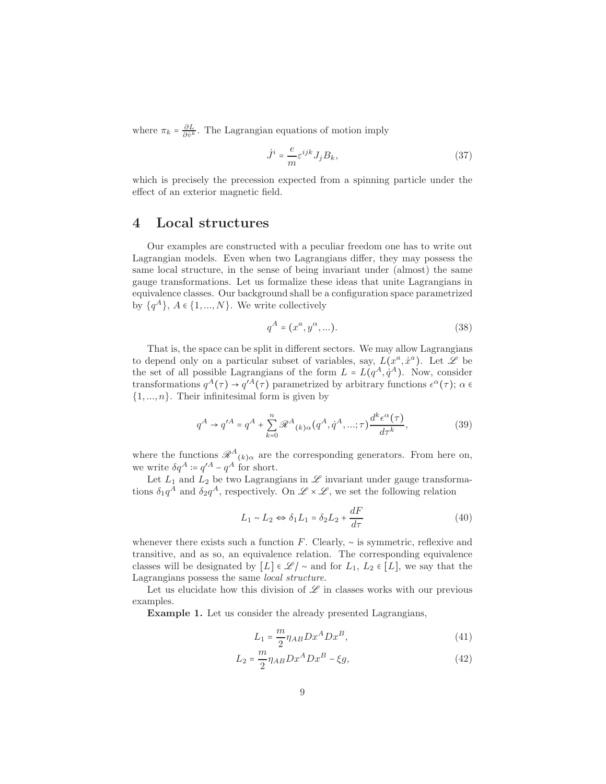where  $\pi_k = \frac{\partial L}{\partial v^k}$ . The Lagrangian equations of motion imply

$$
\dot{J}^i = \frac{e}{m} \varepsilon^{ijk} J_j B_k,\tag{37}
$$

which is precisely the precession expected from a spinning particle under the effect of an exterior magnetic field.

## <span id="page-8-0"></span>4 Local structures

Our examples are constructed with a peculiar freedom one has to write out Lagrangian models. Even when two Lagrangians differ, they may possess the same local structure, in the sense of being invariant under (almost) the same gauge transformations. Let us formalize these ideas that unite Lagrangians in equivalence classes. Our background shall be a configuration space parametrized by  $\{q^A\}, A \in \{1, ..., N\}$ . We write collectively

$$
q^{A} = (x^{a}, y^{\alpha}, \dots). \tag{38}
$$

That is, the space can be split in different sectors. We may allow Lagrangians to depend only on a particular subset of variables, say,  $L(x^a, \dot{x}^a)$ . Let  $\mathscr L$  be the set of all possible Lagrangians of the form  $L = L(q^A, \dot{q}^A)$ . Now, consider transformations  $q^A(\tau) \to q'^A(\tau)$  parametrized by arbitrary functions  $\epsilon^{\alpha}(\tau)$ ;  $\alpha \in$  $\{1, ..., n\}$ . Their infinitesimal form is given by

$$
q^A \to q'^A = q^A + \sum_{k=0}^n \mathcal{R}^A(k) \alpha(q^A, \dot{q}^A, \ldots; \tau) \frac{d^k \epsilon^\alpha(\tau)}{d\tau^k},
$$
\n(39)

where the functions  $\mathscr{R}^{A}{}_{(k)\alpha}$  are the corresponding generators. From here on, we write  $\delta q^A := q'^A - q^A$  for short.

Let  $L_1$  and  $L_2$  be two Lagrangians in  $\mathscr L$  invariant under gauge transformations  $\delta_1 q^A$  and  $\delta_2 q^A$ , respectively. On  $\mathscr{L} \times \mathscr{L}$ , we set the following relation

<span id="page-8-1"></span>
$$
L_1 \sim L_2 \Leftrightarrow \delta_1 L_1 = \delta_2 L_2 + \frac{dF}{d\tau}
$$
\n<sup>(40)</sup>

whenever there exists such a function F. Clearly,  $\sim$  is symmetric, reflexive and transitive, and as so, an equivalence relation. The corresponding equivalence classes will be designated by  $[L] \in \mathcal{L}/\sim$  and for  $L_1, L_2 \in [L]$ , we say that the Lagrangians possess the same local structure.

Let us elucidate how this division of  $\mathscr L$  in classes works with our previous examples.

Example 1. Let us consider the already presented Lagrangians,

$$
L_1 = \frac{m}{2} \eta_{AB} D x^A D x^B,\tag{41}
$$

$$
L_2 = \frac{m}{2} \eta_{AB} D x^A D x^B - \xi g,\tag{42}
$$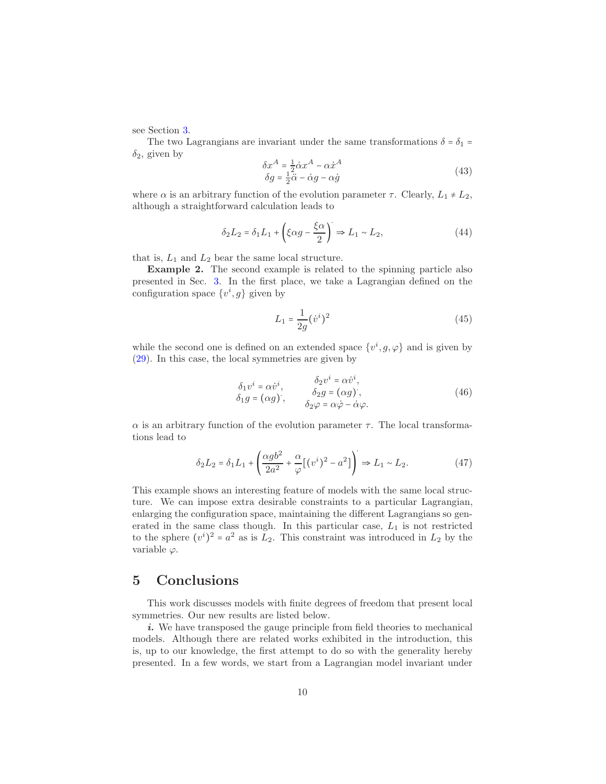see Section [3.](#page-3-0)

The two Lagrangians are invariant under the same transformations  $\delta = \delta_1$  =  $\delta_2$ , given by

$$
\delta x^A = \frac{1}{2} \dot{\alpha} x^A - \alpha \dot{x}^A
$$
  
\n
$$
\delta g = \frac{1}{2} \ddot{\alpha} - \dot{\alpha} g - \alpha \dot{g}
$$
\n(43)

where  $\alpha$  is an arbitrary function of the evolution parameter  $\tau$ . Clearly,  $L_1 \neq L_2$ , although a straightforward calculation leads to

$$
\delta_2 L_2 = \delta_1 L_1 + \left(\xi \alpha g - \frac{\xi \alpha}{2}\right) \Rightarrow L_1 \sim L_2,\tag{44}
$$

that is,  $L_1$  and  $L_2$  bear the same local structure.

Example 2. The second example is related to the spinning particle also presented in Sec. [3.](#page-3-0) In the first place, we take a Lagrangian defined on the configuration space  $\{v^i, g\}$  given by

$$
L_1 = \frac{1}{2g} (\dot{v}^i)^2
$$
\n(45)

while the second one is defined on an extended space  $\{v^i, g, \varphi\}$  and is given by [\(29\)](#page-7-0). In this case, the local symmetries are given by

$$
\delta_1 v^i = \alpha \dot{v}^i, \n\delta_2 v^i = \alpha \dot{v}^i, \n\delta_2 g = (\alpha g), \n\delta_2 g = (\alpha g), \n\delta_2 \varphi = \alpha \dot{\varphi} - \dot{\alpha} \varphi.
$$
\n(46)

 $\alpha$  is an arbitrary function of the evolution parameter  $\tau$ . The local transformations lead to

$$
\delta_2 L_2 = \delta_1 L_1 + \left(\frac{\alpha g b^2}{2a^2} + \frac{\alpha}{\varphi} \left[ (v^i)^2 - a^2 \right] \right) \Rightarrow L_1 \sim L_2. \tag{47}
$$

This example shows an interesting feature of models with the same local structure. We can impose extra desirable constraints to a particular Lagrangian, enlarging the configuration space, maintaining the different Lagrangians so generated in the same class though. In this particular case,  $L_1$  is not restricted to the sphere  $(v^{i})^{2} = a^{2}$  as is  $\tilde{L}_{2}$ . This constraint was introduced in  $L_{2}$  by the variable  $\varphi$ .

# <span id="page-9-0"></span>5 Conclusions

This work discusses models with finite degrees of freedom that present local symmetries. Our new results are listed below.

i. We have transposed the gauge principle from field theories to mechanical models. Although there are related works exhibited in the introduction, this is, up to our knowledge, the first attempt to do so with the generality hereby presented. In a few words, we start from a Lagrangian model invariant under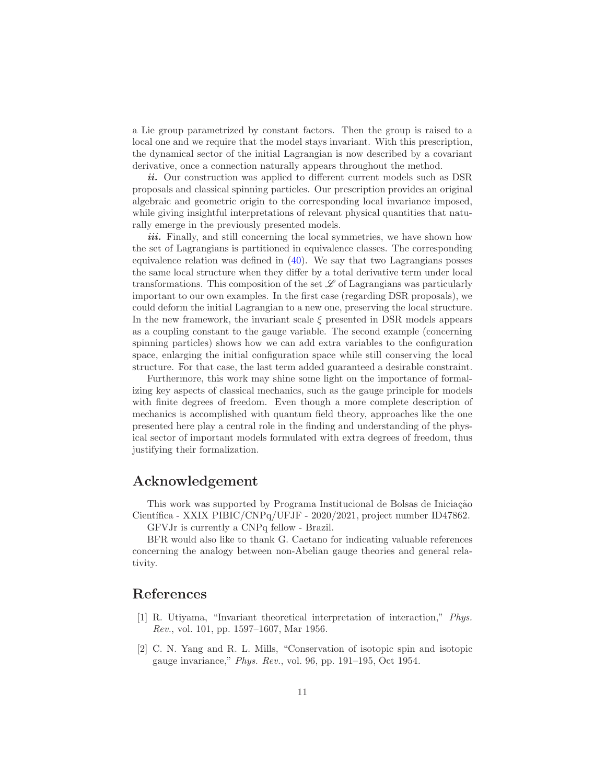a Lie group parametrized by constant factors. Then the group is raised to a local one and we require that the model stays invariant. With this prescription, the dynamical sector of the initial Lagrangian is now described by a covariant derivative, once a connection naturally appears throughout the method.

i. Our construction was applied to different current models such as DSR proposals and classical spinning particles. Our prescription provides an original algebraic and geometric origin to the corresponding local invariance imposed, while giving insightful interpretations of relevant physical quantities that naturally emerge in the previously presented models.

*iii.* Finally, and still concerning the local symmetries, we have shown how the set of Lagrangians is partitioned in equivalence classes. The corresponding equivalence relation was defined in [\(40\)](#page-8-1). We say that two Lagrangians posses the same local structure when they differ by a total derivative term under local transformations. This composition of the set  $\mathscr L$  of Lagrangians was particularly important to our own examples. In the first case (regarding DSR proposals), we could deform the initial Lagrangian to a new one, preserving the local structure. In the new framework, the invariant scale  $\xi$  presented in DSR models appears as a coupling constant to the gauge variable. The second example (concerning spinning particles) shows how we can add extra variables to the configuration space, enlarging the initial configuration space while still conserving the local structure. For that case, the last term added guaranteed a desirable constraint.

Furthermore, this work may shine some light on the importance of formalizing key aspects of classical mechanics, such as the gauge principle for models with finite degrees of freedom. Even though a more complete description of mechanics is accomplished with quantum field theory, approaches like the one presented here play a central role in the finding and understanding of the physical sector of important models formulated with extra degrees of freedom, thus justifying their formalization.

# Acknowledgement

This work was supported by Programa Institucional de Bolsas de Iniciação Científica - XXIX PIBIC/CNPq/UFJF - 2020/2021, project number ID47862.

GFVJr is currently a CNPq fellow - Brazil.

BFR would also like to thank G. Caetano for indicating valuable references concerning the analogy between non-Abelian gauge theories and general relativity.

## <span id="page-10-0"></span>References

- [1] R. Utiyama, "Invariant theoretical interpretation of interaction," Phys. Rev., vol. 101, pp. 1597–1607, Mar 1956.
- <span id="page-10-1"></span>[2] C. N. Yang and R. L. Mills, "Conservation of isotopic spin and isotopic gauge invariance," *Phys. Rev.*, vol. 96, pp.  $191-195$ , Oct  $1954$ .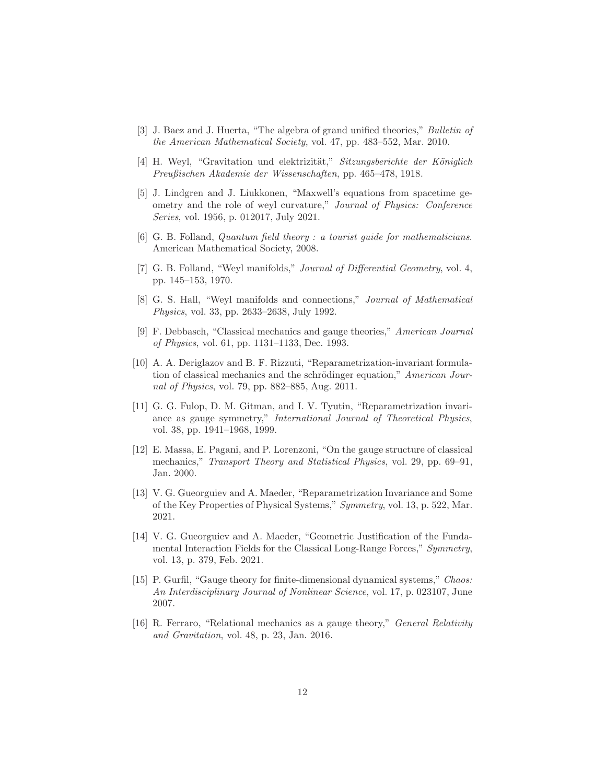- <span id="page-11-1"></span><span id="page-11-0"></span>[3] J. Baez and J. Huerta, "The algebra of grand unified theories," Bulletin of the American Mathematical Society, vol. 47, pp. 483–552, Mar. 2010.
- <span id="page-11-2"></span>[4] H. Weyl, "Gravitation und elektrizität," Sitzungsberichte der Königlich Preußischen Akademie der Wissenschaften, pp. 465–478, 1918.
- [5] J. Lindgren and J. Liukkonen, "Maxwell's equations from spacetime geometry and the role of weyl curvature," Journal of Physics: Conference Series, vol. 1956, p. 012017, July 2021.
- <span id="page-11-4"></span><span id="page-11-3"></span>[6] G. B. Folland, Quantum field theory : a tourist guide for mathematicians. American Mathematical Society, 2008.
- <span id="page-11-5"></span>[7] G. B. Folland, "Weyl manifolds," Journal of Differential Geometry, vol. 4, pp. 145–153, 1970.
- [8] G. S. Hall, "Weyl manifolds and connections," Journal of Mathematical Physics, vol. 33, pp. 2633–2638, July 1992.
- <span id="page-11-6"></span>[9] F. Debbasch, "Classical mechanics and gauge theories," American Journal of Physics, vol. 61, pp. 1131–1133, Dec. 1993.
- <span id="page-11-7"></span>[10] A. A. Deriglazov and B. F. Rizzuti, "Reparametrization-invariant formulation of classical mechanics and the schrödinger equation," American Journal of Physics, vol. 79, pp. 882–885, Aug. 2011.
- <span id="page-11-8"></span>[11] G. G. Fulop, D. M. Gitman, and I. V. Tyutin, "Reparametrization invariance as gauge symmetry," International Journal of Theoretical Physics, vol. 38, pp. 1941–1968, 1999.
- <span id="page-11-9"></span>[12] E. Massa, E. Pagani, and P. Lorenzoni, "On the gauge structure of classical mechanics," Transport Theory and Statistical Physics, vol. 29, pp. 69–91, Jan. 2000.
- <span id="page-11-10"></span>[13] V. G. Gueorguiev and A. Maeder, "Reparametrization Invariance and Some of the Key Properties of Physical Systems," Symmetry, vol. 13, p. 522, Mar. 2021.
- <span id="page-11-11"></span>[14] V. G. Gueorguiev and A. Maeder, "Geometric Justification of the Fundamental Interaction Fields for the Classical Long-Range Forces," Symmetry, vol. 13, p. 379, Feb. 2021.
- <span id="page-11-12"></span>[15] P. Gurfil, "Gauge theory for finite-dimensional dynamical systems," Chaos: An Interdisciplinary Journal of Nonlinear Science, vol. 17, p. 023107, June 2007.
- <span id="page-11-13"></span>[16] R. Ferraro, "Relational mechanics as a gauge theory," General Relativity and Gravitation, vol. 48, p. 23, Jan. 2016.